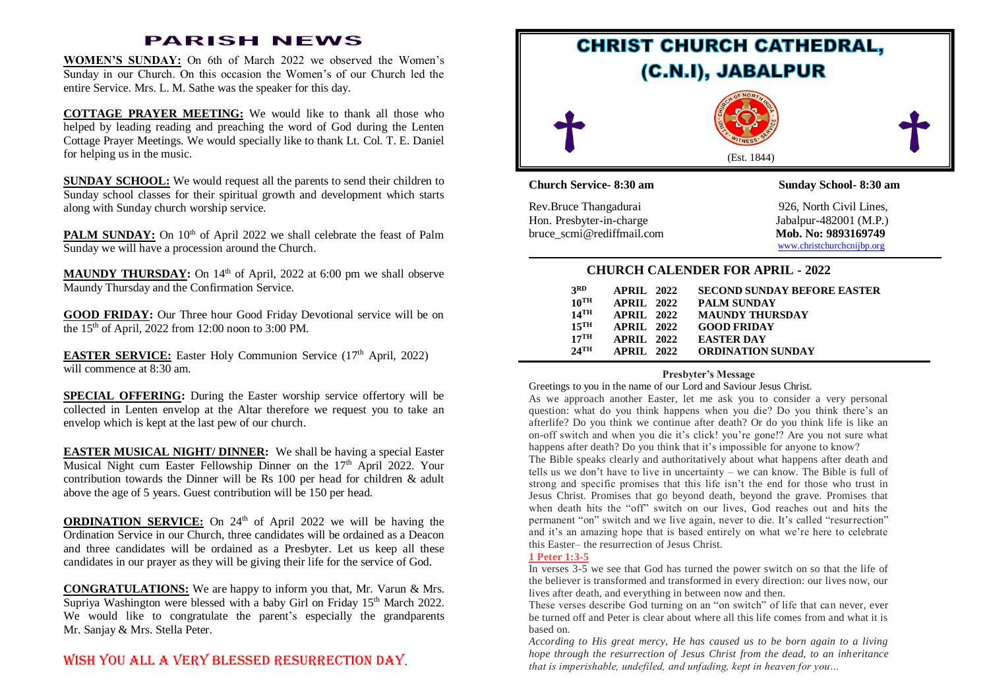## **PARISH NEWS**

**WOMEN'S SUNDAY:** On 6th of March 2022 we observed the Women's Sunday in our Church. On this occasion the Women's of our Church led the entire Service. Mrs. L. M. Sathe was the speaker for this day.

**COTTAGE PRAYER MEETING:** We would like to thank all those who helped by leading reading and preaching the word of God during the Lenten Cottage Prayer Meetings. We would specially like to thank Lt. Col. T. E. Daniel for helping us in the music.

**SUNDAY SCHOOL:** We would request all the parents to send their children to Sunday school classes for their spiritual growth and development which starts along with Sunday church worship service.

**PALM SUNDAY:** On 10<sup>th</sup> of April 2022 we shall celebrate the feast of Palm Sunday we will have a procession around the Church.

MAUNDY THURSDAY: On 14<sup>th</sup> of April, 2022 at 6:00 pm we shall observe Maundy Thursday and the Confirmation Service.

**GOOD FRIDAY:** Our Three hour Good Friday Devotional service will be on the  $15<sup>th</sup>$  of April, 2022 from 12:00 noon to 3:00 PM.

**EASTER SERVICE:** Easter Holy Communion Service (17<sup>th</sup> April, 2022) will commence at  $8.30$  am.

**SPECIAL OFFERING:** During the Easter worship service offertory will be collected in Lenten envelop at the Altar therefore we request you to take an envelop which is kept at the last pew of our church.

**EASTER MUSICAL NIGHT/ DINNER:** We shall be having a special Easter Musical Night cum Easter Fellowship Dinner on the  $17<sup>th</sup>$  April 2022. Your contribution towards the Dinner will be Rs 100 per head for children & adult above the age of 5 years. Guest contribution will be 150 per head.

**ORDINATION SERVICE:** On 24<sup>th</sup> of April 2022 we will be having the Ordination Service in our Church, three candidates will be ordained as a Deacon and three candidates will be ordained as a Presbyter. Let us keep all these candidates in our prayer as they will be giving their life for the service of God.

**CONGRATULATIONS:** We are happy to inform you that, Mr. Varun & Mrs. Supriya Washington were blessed with a baby Girl on Friday 15<sup>th</sup> March 2022. We would like to congratulate the parent's especially the grandparents Mr. Sanjay & Mrs. Stella Peter.

# Wish YOU ALL A VERY BLESSED RESURRECTION DAY.



## **CHURCH CALENDER FOR APRIL - 2022**

| <b>3RD</b>         | <b>APRIL 2022</b> | <b>SECOND SUNDAY BEFORE EASTER</b> |
|--------------------|-------------------|------------------------------------|
| $10^{TH}$          | <b>APRIL 2022</b> | <b>PALM SUNDAY</b>                 |
| $14$ <sup>TH</sup> | APRII. 2022       | <b>MAUNDY THURSDAY</b>             |
| $15$ <sup>TH</sup> | <b>APRIL 2022</b> | <b>GOOD FRIDAY</b>                 |
| $17$ <sup>TH</sup> | APRII. 2022       | <b>EASTER DAY</b>                  |
| $24$ TH            | APRII. 2022       | <b>ORDINATION SUNDAY</b>           |

## **Presbyter's Message**

Greetings to you in the name of our Lord and Saviour Jesus Christ.

As we approach another Easter, let me ask you to consider a very personal question: what do you think happens when you die? Do you think there's an afterlife? Do you think we continue after death? Or do you think life is like an on-off switch and when you die it's click! you're gone!? Are you not sure what happens after death? Do you think that it's impossible for anyone to know?

The Bible speaks clearly and authoritatively about what happens after death and tells us we don't have to live in uncertainty – we can know. The Bible is full of strong and specific promises that this life isn't the end for those who trust in Jesus Christ. Promises that go beyond death, beyond the grave. Promises that when death hits the "off" switch on our lives, God reaches out and hits the permanent "on" switch and we live again, never to die. It's called "resurrection" and it's an amazing hope that is based entirely on what we're here to celebrate this Easter– the resurrection of Jesus Christ.

### **[1 Peter 1:3-5](https://biblia.com/bible/esv/1%20Pet%201.3-5)**

In verses 3-5 we see that God has turned the power switch on so that the life of the believer is transformed and transformed in every direction: our lives now, our lives after death, and everything in between now and then.

These verses describe God turning on an "on switch" of life that can never, ever be turned off and Peter is clear about where all this life comes from and what it is based on.

*According to His great mercy, He has caused us to be born again to a living hope through the resurrection of Jesus Christ from the dead, to an inheritance that is imperishable, undefiled, and unfading, kept in heaven for you…*